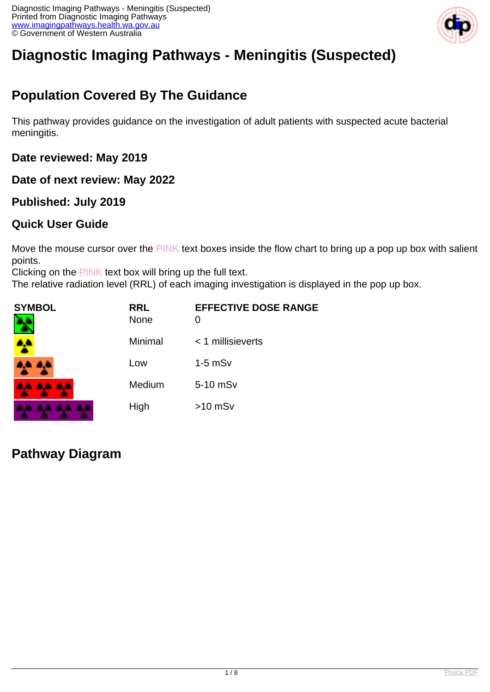

# **Diagnostic Imaging Pathways - Meningitis (Suspected)**

## **Population Covered By The Guidance**

This pathway provides guidance on the investigation of adult patients with suspected acute bacterial meningitis.

**Date reviewed: May 2019**

**Date of next review: May 2022**

### **Published: July 2019**

### **Quick User Guide**

Move the mouse cursor over the PINK text boxes inside the flow chart to bring up a pop up box with salient points.

Clicking on the PINK text box will bring up the full text.

The relative radiation level (RRL) of each imaging investigation is displayed in the pop up box.

| <b>SYMBOL</b> | <b>RRL</b><br><b>None</b> | <b>EFFECTIVE DOSE RANGE</b> |
|---------------|---------------------------|-----------------------------|
| <b>A</b>      | Minimal                   | $<$ 1 millisieverts         |
| 4,4 A,4       | Low                       | $1-5$ mS $v$                |
| .             | Medium                    | 5-10 mSv                    |
|               | High                      | $>10$ mSv                   |

**Pathway Diagram**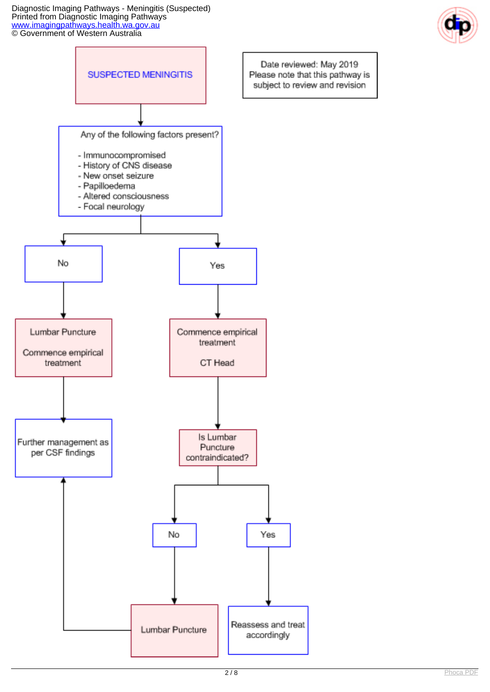Diagnostic Imaging Pathways - Meningitis (Suspected) Printed from Diagnostic Imaging Pathways [www.imagingpathways.health.wa.gov.au](http://www.imagingpathways.health.wa.gov.au/) **CO** Government of Western Australia



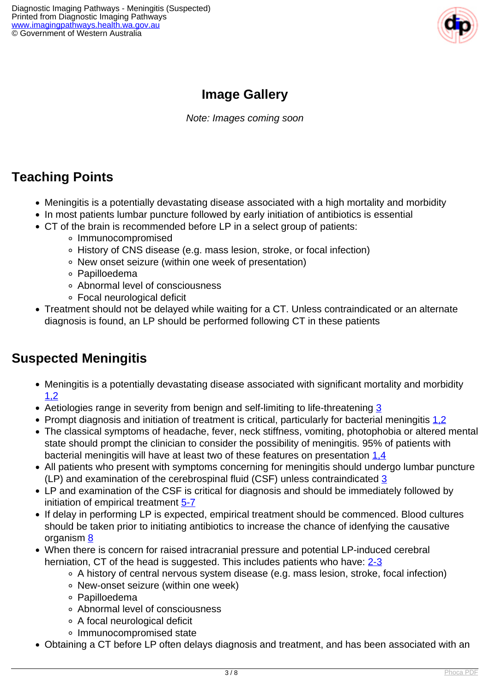

## **Image Gallery**

Note: Images coming soon

### **Teaching Points**

- Meningitis is a potentially devastating disease associated with a high mortality and morbidity
- In most patients lumbar puncture followed by early initiation of antibiotics is essential
- CT of the brain is recommended before LP in a select group of patients:
	- Immunocompromised
	- History of CNS disease (e.g. mass lesion, stroke, or focal infection)
	- New onset seizure (within one week of presentation)
	- Papilloedema
	- Abnormal level of consciousness
	- Focal neurological deficit
- Treatment should not be delayed while waiting for a CT. Unless contraindicated or an alternate diagnosis is found, an LP should be performed following CT in these patients

### **Suspected Meningitis**

- Meningitis is a potentially devastating disease associated with significant mortality and morbidity [1,2](index.php?option=com_content&view=article&id=90&tab=references#1)
- Aetiologies range in severity from benign and self-limiting to life-threatening [3](index.php?option=com_content&view=article&id=90&tab=references#3)
- Prompt diagnosis and initiation of treatment is critical, particularly for bacterial meningitis 1.2
- The classical symptoms of headache, fever, neck stiffness, vomiting, photophobia or altered mental state should prompt the clinician to consider the possibility of meningitis. 95% of patients with bacterial meningitis will have at least two of these features on presentation [1,4](index.php?option=com_content&view=article&id=90&tab=references#1)
- All patients who present with symptoms concerning for meningitis should undergo lumbar puncture (LP) and examination of the cerebrospinal fluid (CSF) unless contraindicated  $\frac{3}{5}$  $\frac{3}{5}$  $\frac{3}{5}$
- LP and examination of the CSF is critical for diagnosis and should be immediately followed by initiation of empirical treatment [5-7](index.php?option=com_content&view=article&id=90&tab=references#5)
- If delay in performing LP is expected, empirical treatment should be commenced. Blood cultures should be taken prior to initiating antibiotics to increase the chance of idenfying the causative organism [8](index.php?option=com_content&view=article&id=90&tab=references#8)
- When there is concern for raised intracranial pressure and potential LP-induced cerebral herniation, CT of the head is suggested. This includes patients who have: [2-3](index.php?option=com_content&view=article&id=90&tab=references#2)
	- A history of central nervous system disease (e.g. mass lesion, stroke, focal infection)
	- New-onset seizure (within one week)
	- Papilloedema
	- Abnormal level of consciousness
	- A focal neurological deficit
	- o Immunocompromised state
- Obtaining a CT before LP often delays diagnosis and treatment, and has been associated with an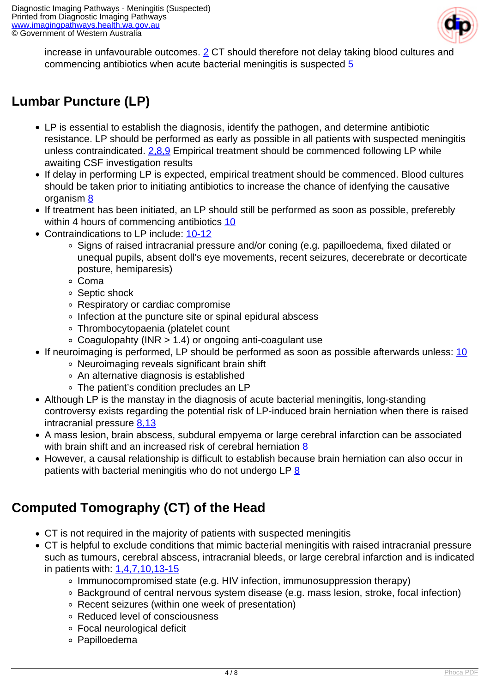

increase in unfavourable outcomes. [2](index.php?option=com_content&view=article&id=90&tab=references#2) CT should therefore not delay taking blood cultures and commencing antibiotics when acute bacterial meningitis is suspected [5](index.php?option=com_content&view=article&id=90&tab=references#5)

## **Lumbar Puncture (LP)**

- LP is essential to establish the diagnosis, identify the pathogen, and determine antibiotic resistance. LP should be performed as early as possible in all patients with suspected meningitis unless contraindicated. [2,8,9](index.php?option=com_content&view=article&id=90&tab=references#2) Empirical treatment should be commenced following LP while awaiting CSF investigation results
- If delay in performing LP is expected, empirical treatment should be commenced. Blood cultures should be taken prior to initiating antibiotics to increase the chance of idenfying the causative organism [8](index.php?option=com_content&view=article&id=90&tab=references#8)
- If treatment has been initiated, an LP should still be performed as soon as possible, preferebly within 4 hours of commencing antibiotics [10](index.php?option=com_content&view=article&id=90&tab=references#10)
- Contraindications to LP include: [10-12](index.php?option=com_content&view=article&id=90&tab=references#10)
	- Signs of raised intracranial pressure and/or coning (e.g. papilloedema, fixed dilated or unequal pupils, absent doll's eye movements, recent seizures, decerebrate or decorticate posture, hemiparesis)
	- Coma
	- Septic shock
	- Respiratory or cardiac compromise
	- Infection at the puncture site or spinal epidural abscess
	- Thrombocytopaenia (platelet count
	- $\circ$  Coagulopahty (INR  $> 1.4$ ) or ongoing anti-coagulant use
- If neuroimaging is performed, LP should be performed as soon as possible afterwards unless: [10](index.php?option=com_content&view=article&id=90&tab=references#10)
	- Neuroimaging reveals significant brain shift
	- An alternative diagnosis is established
	- The patient's condition precludes an LP
- Although LP is the manstay in the diagnosis of acute bacterial meningitis, long-standing controversy exists regarding the potential risk of LP-induced brain herniation when there is raised intracranial pressure [8,13](index.php?option=com_content&view=article&id=90&tab=references#8)
- A mass lesion, brain abscess, subdural empyema or large cerebral infarction can be associated with brain shift and an increased risk of cerebral herniation [8](index.php?option=com_content&view=article&id=90&tab=references#8)
- However, a causal relationship is difficult to establish because brain herniation can also occur in patients with bacterial meningitis who do not undergo LP $8$

## **Computed Tomography (CT) of the Head**

- CT is not required in the majority of patients with suspected meningitis
- CT is helpful to exclude conditions that mimic bacterial meningitis with raised intracranial pressure such as tumours, cerebral abscess, intracranial bleeds, or large cerebral infarction and is indicated in patients with: [1,4,7,10,13-15](index.php?option=com_content&view=article&id=90&tab=references#1)
	- Immunocompromised state (e.g. HIV infection, immunosuppression therapy)
	- Background of central nervous system disease (e.g. mass lesion, stroke, focal infection)
	- Recent seizures (within one week of presentation)
	- Reduced level of consciousness
	- Focal neurological deficit
	- Papilloedema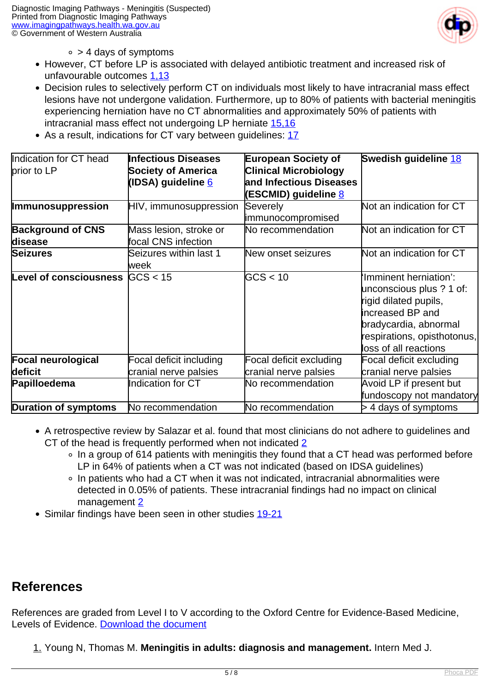

- $\circ$  > 4 days of symptoms
- However, CT before LP is associated with delayed antibiotic treatment and increased risk of unfavourable outcomes [1,13](index.php?option=com_content&view=article&id=90&tab=references#1)
- Decision rules to selectively perform CT on individuals most likely to have intracranial mass effect lesions have not undergone validation. Furthermore, up to 80% of patients with bacterial meningitis experiencing herniation have no CT abnormalities and approximately 50% of patients with intracranial mass effect not undergoing LP herniate [15,16](index.php?option=com_content&view=article&id=90&tab=references#15)
- As a result, indications for CT vary between quidelines: [17](index.php?option=com_content&view=article&id=90&tab=references#17)

| Indication for CT head        | <b>Infectious Diseases</b> | <b>European Society of</b>   | Swedish guideline 18        |
|-------------------------------|----------------------------|------------------------------|-----------------------------|
| prior to LP                   | <b>Society of America</b>  | <b>Clinical Microbiology</b> |                             |
|                               | (IDSA) guideline <u>6</u>  | and Infectious Diseases      |                             |
|                               |                            | (ESCMID) guideline <u>8</u>  |                             |
| <b>Immunosuppression</b>      | HIV, immunosuppression     | Severely                     | Not an indication for CT    |
|                               |                            | immunocompromised            |                             |
| <b>Background of CNS</b>      | Mass lesion, stroke or     | No recommendation            | Not an indication for CT    |
| disease                       | focal CNS infection        |                              |                             |
| <b>Seizures</b>               | Seizures within last 1     | New onset seizures           | Not an indication for CT    |
|                               | lweek                      |                              |                             |
| <b>Level of consciousness</b> | GCS < 15                   | GCS < 10                     | 'Imminent herniation':      |
|                               |                            |                              | unconscious plus ? 1 of:    |
|                               |                            |                              | rigid dilated pupils,       |
|                               |                            |                              | increased BP and            |
|                               |                            |                              | bradycardia, abnormal       |
|                               |                            |                              | respirations, opisthotonus, |
|                               |                            |                              | loss of all reactions       |
| <b>Focal neurological</b>     | Focal deficit including    | Focal deficit excluding      | Focal deficit excluding     |
| deficit                       | cranial nerve palsies      | cranial nerve palsies        | cranial nerve palsies       |
| Papilloedema                  | <b>Indication for CT</b>   | No recommendation            | Avoid LP if present but     |
|                               |                            |                              | fundoscopy not mandatory    |
| Duration of symptoms          | No recommendation          | No recommendation            | $>$ 4 days of symptoms      |

- A retrospective review by Salazar et al. found that most clinicians do not adhere to guidelines and CT of the head is frequently performed when not indicated [2](index.php?option=com_content&view=article&id=90&tab=references#2)
	- In a group of 614 patients with meningitis they found that a CT head was performed before LP in 64% of patients when a CT was not indicated (based on IDSA guidelines)
	- In patients who had a CT when it was not indicated, intracranial abnormalities were detected in 0.05% of patients. These intracranial findings had no impact on clinical management [2](index.php?option=com_content&view=article&id=90&tab=references#2)
- Similar findings have been seen in other studies [19-21](index.php?option=com_content&view=article&id=90&tab=references#19)

### **References**

References are graded from Level I to V according to the Oxford Centre for Evidence-Based Medicine, Levels of Evidence. [Download the document](http://www.cebm.net/wp-content/uploads/2014/06/CEBM-Levels-of-Evidence-2.1.pdf)

1. Young N, Thomas M. **Meningitis in adults: diagnosis and management.** Intern Med J.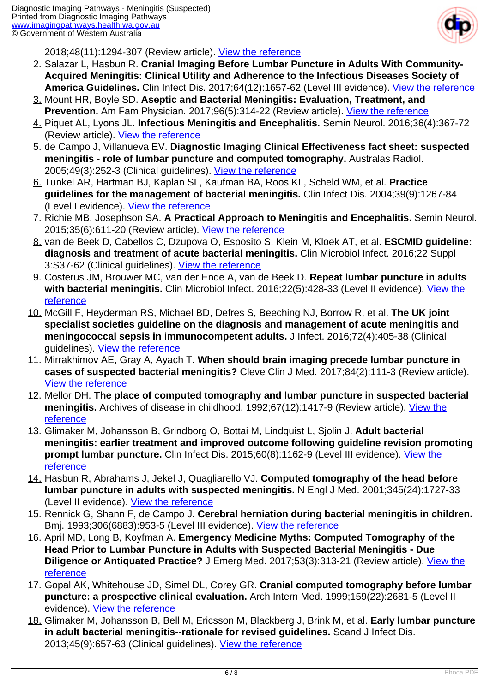

2018;48(11):1294-307 (Review article). [View the reference](https://www.ncbi.nlm.nih.gov/pubmed/30387309)

- 2. Salazar L, Hasbun R. **Cranial Imaging Before Lumbar Puncture in Adults With Community-Acquired Meningitis: Clinical Utility and Adherence to the Infectious Diseases Society of America Guidelines.** Clin Infect Dis. 2017;64(12):1657-62 (Level III evidence). [View the reference](https://www.ncbi.nlm.nih.gov/pubmed/28369295)
- 3. Mount HR, Boyle SD. **Aseptic and Bacterial Meningitis: Evaluation, Treatment, and Prevention.** Am Fam Physician. 2017;96(5):314-22 (Review article). [View the reference](https://www.ncbi.nlm.nih.gov/pubmed/28925647)
- 4. Piquet AL, Lyons JL. **Infectious Meningitis and Encephalitis.** Semin Neurol. 2016;36(4):367-72 (Review article). [View the reference](https://www.ncbi.nlm.nih.gov/pubmed/27643906)
- 5. de Campo J, Villanueva EV. **Diagnostic Imaging Clinical Effectiveness fact sheet: suspected meningitis - role of lumbar puncture and computed tomography.** Australas Radiol. 2005;49(3):252-3 (Clinical guidelines). [View the reference](https://www.ncbi.nlm.nih.gov/pubmed/15932471)
- 6. Tunkel AR, Hartman BJ, Kaplan SL, Kaufman BA, Roos KL, Scheld WM, et al. **Practice guidelines for the management of bacterial meningitis.** Clin Infect Dis. 2004;39(9):1267-84 (Level I evidence). [View the reference](https://www.ncbi.nlm.nih.gov/pubmed/15494903)
- 7. Richie MB, Josephson SA. **A Practical Approach to Meningitis and Encephalitis.** Semin Neurol. 2015;35(6):611-20 (Review article). [View the reference](https://www.ncbi.nlm.nih.gov/pubmed/26595861)
- 8. van de Beek D, Cabellos C, Dzupova O, Esposito S, Klein M, Kloek AT, et al. **ESCMID guideline: diagnosis and treatment of acute bacterial meningitis.** Clin Microbiol Infect. 2016;22 Suppl 3:S37-62 (Clinical guidelines). [View the reference](https://www.ncbi.nlm.nih.gov/pubmed/27062097)
- 9. Costerus JM, Brouwer MC, van der Ende A, van de Beek D. **Repeat lumbar puncture in adults** with bacterial meningitis. Clin Microbiol Infect. 2016;22(5):428-33 (Level II evidence). [View the](https://www.ncbi.nlm.nih.gov/pubmed/26802211) [reference](https://www.ncbi.nlm.nih.gov/pubmed/26802211)
- 10. McGill F, Heyderman RS, Michael BD, Defres S, Beeching NJ, Borrow R, et al. **The UK joint specialist societies guideline on the diagnosis and management of acute meningitis and meningococcal sepsis in immunocompetent adults.** J Infect. 2016;72(4):405-38 (Clinical guidelines). [View the reference](https://www.ncbi.nlm.nih.gov/pubmed/26845731)
- 11. Mirrakhimov AE, Gray A, Ayach T. **When should brain imaging precede lumbar puncture in cases of suspected bacterial meningitis?** Cleve Clin J Med. 2017;84(2):111-3 (Review article). [View the reference](https://www.ncbi.nlm.nih.gov/pubmed/28198685)
- 12. Mellor DH. **The place of computed tomography and lumbar puncture in suspected bacterial** meningitis. Archives of disease in childhood. 1992;67(12):1417-9 (Review article). [View the](https://www.ncbi.nlm.nih.gov/pubmed/1489216) [reference](https://www.ncbi.nlm.nih.gov/pubmed/1489216)
- 13. Glimaker M, Johansson B, Grindborg O, Bottai M, Lindquist L, Sjolin J. **Adult bacterial meningitis: earlier treatment and improved outcome following guideline revision promoting prompt lumbar puncture.** Clin Infect Dis. 2015;60(8):1162-9 (Level III evidence). [View the](https://www.ncbi.nlm.nih.gov/pubmed/25663160) [reference](https://www.ncbi.nlm.nih.gov/pubmed/25663160)
- 14. Hasbun R, Abrahams J, Jekel J, Quagliarello VJ. **Computed tomography of the head before lumbar puncture in adults with suspected meningitis.** N Engl J Med. 2001;345(24):1727-33 (Level II evidence). [View the reference](https://www.ncbi.nlm.nih.gov/pubmed/11742046)
- 15. Rennick G, Shann F, de Campo J. **Cerebral herniation during bacterial meningitis in children.** Bmj. 1993;306(6883):953-5 (Level III evidence). [View the reference](https://www.ncbi.nlm.nih.gov/pubmed/8490469)
- 16. April MD, Long B, Koyfman A. **Emergency Medicine Myths: Computed Tomography of the Head Prior to Lumbar Puncture in Adults with Suspected Bacterial Meningitis - Due Diligence or Antiquated Practice?** J Emerg Med. 2017;53(3):313-21 (Review article). *View the* [reference](https://www.ncbi.nlm.nih.gov/pubmed/28666562)
- 17. Gopal AK, Whitehouse JD, Simel DL, Corey GR. **Cranial computed tomography before lumbar puncture: a prospective clinical evaluation.** Arch Intern Med. 1999;159(22):2681-5 (Level II evidence). [View the reference](https://www.ncbi.nlm.nih.gov/pubmed/10597758)
- 18. Glimaker M, Johansson B, Bell M, Ericsson M, Blackberg J, Brink M, et al. **Early lumbar puncture in adult bacterial meningitis--rationale for revised guidelines.** Scand J Infect Dis. 2013;45(9):657-63 (Clinical guidelines). [View the reference](https://www.ncbi.nlm.nih.gov/pubmed/23808722)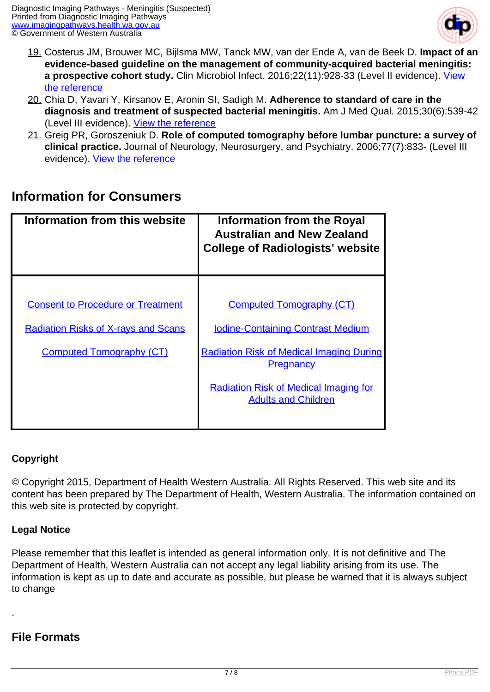

- 19. Costerus JM, Brouwer MC, Bijlsma MW, Tanck MW, van der Ende A, van de Beek D. **Impact of an evidence-based guideline on the management of community-acquired bacterial meningitis:** a prospective cohort study. Clin Microbiol Infect. 2016;22(11):928-33 (Level II evidence). [View](https://www.ncbi.nlm.nih.gov/pubmed/27484018) [the reference](https://www.ncbi.nlm.nih.gov/pubmed/27484018)
- 20. Chia D, Yavari Y, Kirsanov E, Aronin SI, Sadigh M. **Adherence to standard of care in the diagnosis and treatment of suspected bacterial meningitis.** Am J Med Qual. 2015;30(6):539-42 (Level III evidence). [View the reference](https://www.ncbi.nlm.nih.gov/pubmed/25085865)
- 21. Greig PR, Goroszeniuk D. **Role of computed tomography before lumbar puncture: a survey of clinical practice.** Journal of Neurology, Neurosurgery, and Psychiatry. 2006;77(7):833- (Level III evidence). [View the reference](https://www.ncbi.nlm.nih.gov/pmc/articles/PMC2117486/)

### **Information for Consumers**

| Information from this website              | Information from the Royal<br><b>Australian and New Zealand</b><br><b>College of Radiologists' website</b> |
|--------------------------------------------|------------------------------------------------------------------------------------------------------------|
|                                            |                                                                                                            |
| <b>Consent to Procedure or Treatment</b>   | <b>Computed Tomography (CT)</b>                                                                            |
| <b>Radiation Risks of X-rays and Scans</b> | <b>Iodine-Containing Contrast Medium</b>                                                                   |
| <b>Computed Tomography (CT)</b>            | <b>Radiation Risk of Medical Imaging During</b><br><b>Pregnancy</b>                                        |
|                                            | <b>Radiation Risk of Medical Imaging for</b><br><b>Adults and Children</b>                                 |
|                                            |                                                                                                            |

#### **Copyright**

© Copyright 2015, Department of Health Western Australia. All Rights Reserved. This web site and its content has been prepared by The Department of Health, Western Australia. The information contained on this web site is protected by copyright.

#### **Legal Notice**

Please remember that this leaflet is intended as general information only. It is not definitive and The Department of Health, Western Australia can not accept any legal liability arising from its use. The information is kept as up to date and accurate as possible, but please be warned that it is always subject to change

#### **File Formats**

.